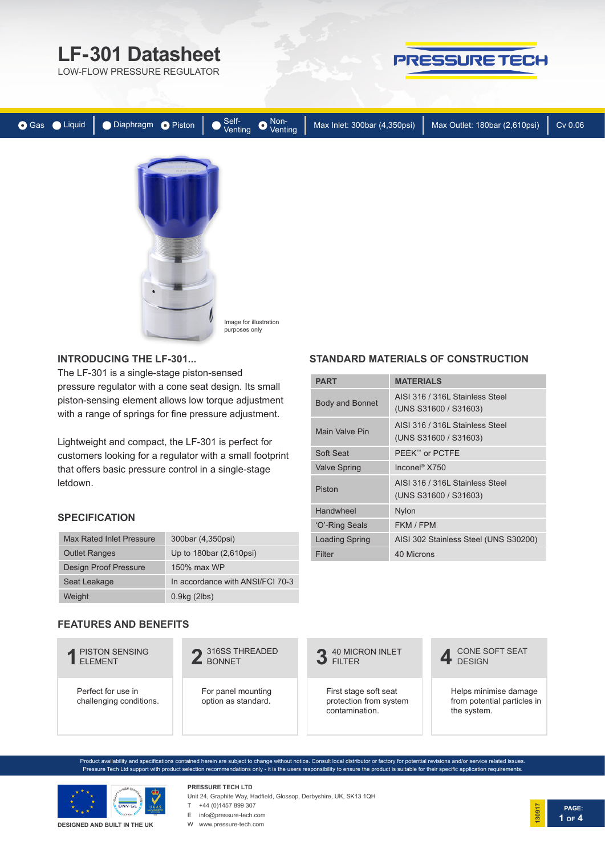

LOW-FLOW PRESSURE REGULATOR



| Gas Liquid | ● Diaphragm ● Piston Self-<br>Venting ● Venting |  | Max Inlet: 300bar (4,350psi) | Max Outlet: 180bar (2,610psi) | Cv 0.06 |
|------------|-------------------------------------------------|--|------------------------------|-------------------------------|---------|
|            |                                                 |  |                              |                               |         |

Image for illustration purposes only

**INTRODUCING THE LF-301...**

The LF-301 is a single-stage piston-sensed pressure regulator with a cone seat design. Its small piston-sensing element allows low torque adjustment with a range of springs for fine pressure adjustment.

Lightweight and compact, the LF-301 is perfect for customers looking for a regulator with a small footprint that offers basic pressure control in a single-stage letdown.

## **SPECIFICATION**

| Max Rated Inlet Pressure | 300bar (4,350psi)                |
|--------------------------|----------------------------------|
| <b>Outlet Ranges</b>     | Up to 180bar (2,610psi)          |
| Design Proof Pressure    | 150% max WP                      |
| Seat Leakage             | In accordance with ANSI/FCI 70-3 |
| Weight                   | $0.9$ kg (2lbs)                  |

#### **FEATURES AND BENEFITS**



Product availability and specifications contained herein are subject to change without notice. Consult local distributor or factory for potential revisions and/or service related issues. Pressure Tech Ltd support with product selection recommendations only - it is the users responsibility to ensure the product is suitable for their specific application requirements.



**DESIGNED AND BUILT IN THE UK**

**PRESSURE TECH LTD** Unit 24, Graphite Way, Hadfield, Glossop, Derbyshire, UK, SK13 1QH



- E info@pressure-tech.com
- W www.pressure-tech.com

## **STANDARD MATERIALS OF CONSTRUCTION**

| <b>PART</b>           | <b>MATERIALS</b>                                         |  |  |
|-----------------------|----------------------------------------------------------|--|--|
| Body and Bonnet       | AISI 316 / 316L Stainless Steel<br>(UNS S31600 / S31603) |  |  |
| Main Valve Pin        | AISI 316 / 316L Stainless Steel<br>(UNS S31600 / S31603) |  |  |
| Soft Seat             | PEEK™ or PCTFE                                           |  |  |
| <b>Valve Spring</b>   | Inconel <sup>®</sup> X750                                |  |  |
| Piston                | AISI 316 / 316L Stainless Steel<br>(UNS S31600 / S31603) |  |  |
| Handwheel             | Nylon                                                    |  |  |
| 'O'-Ring Seals        | FKM / FPM                                                |  |  |
| <b>Loading Spring</b> | AISI 302 Stainless Steel (UNS S30200)                    |  |  |
| Filter                | 40 Microns                                               |  |  |

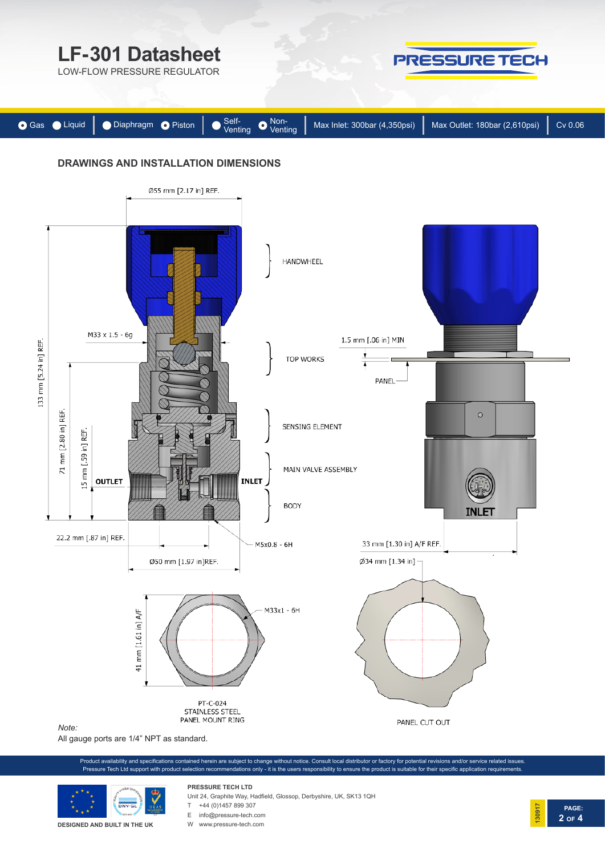

All gauge ports are 1/4" NPT as standard.

Product availability and specifications contained herein are subject to change without notice. Consult local distributor or factory for potential revisions and/or service related issues. Pressure Tech Ltd support with product selection recommendations only - it is the users responsibility to ensure the product is suitable for their specific application requirements



**DESIGNED AND BUILT IN THE UK**

# **PRESSURE TECH LTD**

- Unit 24, Graphite Way, Hadfield, Glossop, Derbyshire, UK, SK13 1QH
- $T +44 (0)1457 899 307$
- 
- E info@pressure-tech.com W www.pressure-tech.com

**PAGE: 130917 2 OF 4**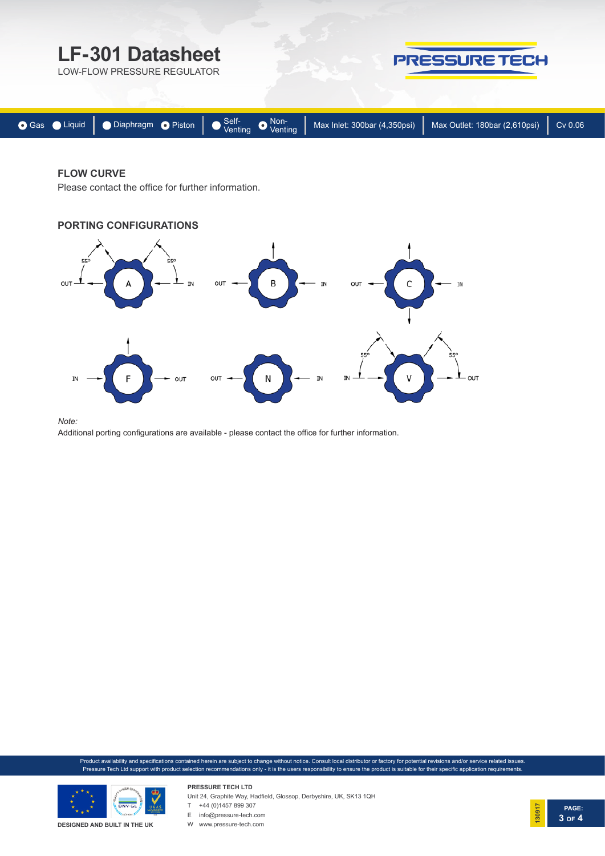

### **FLOW CURVE**

Please contact the office for further information.



*Note:* 

Additional porting configurations are available - please contact the office for further information.

Product availability and specifications contained herein are subject to change without notice. Consult local distributor or factory for potential revisions and/or service related issues. Pressure Tech Ltd support with product selection recommendations only - it is the users responsibility to ensure the product is suitable for their specific application requirements



**PRESSURE TECH LTD** Unit 24, Graphite Way, Hadfield, Glossop, Derbyshire, UK, SK13 1QH  $T +44 (0)1457899307$ 

E info@pressure-tech.com

W www.pressure-tech.com